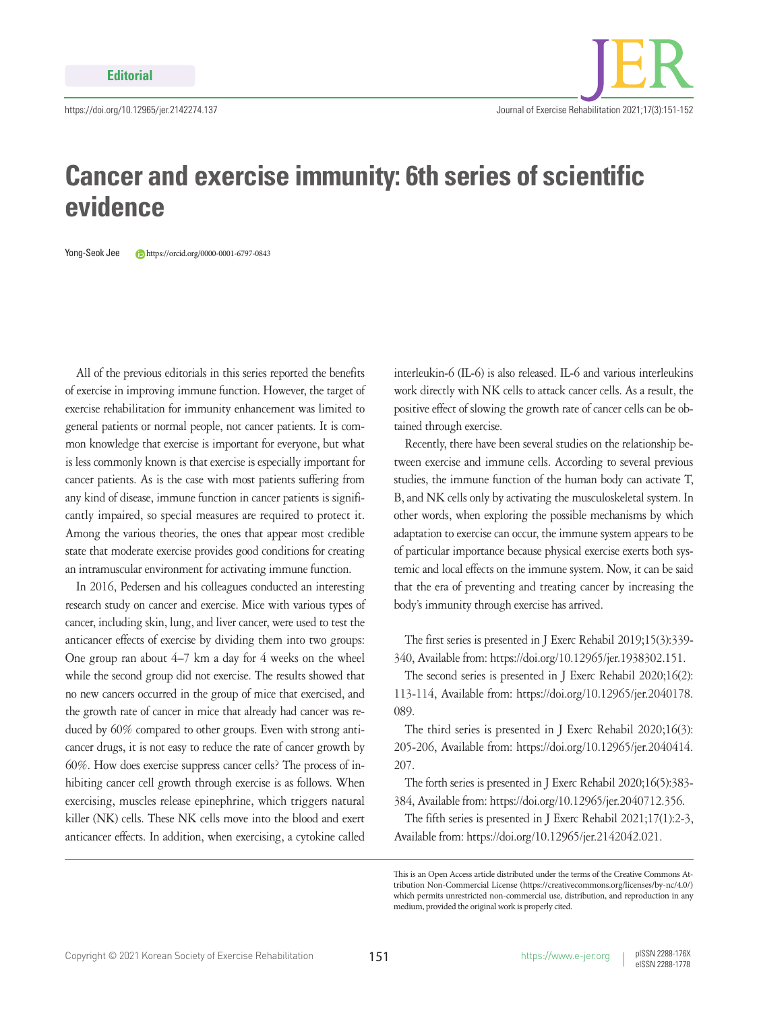## **Cancer and exercise immunity: 6th series of scientific evidence**

Yong-Seok Jee https://orcid.org/0000-0001-6797-0843

All of the previous editorials in this series reported the benefits of exercise in improving immune function. However, the target of exercise rehabilitation for immunity enhancement was limited to general patients or normal people, not cancer patients. It is common knowledge that exercise is important for everyone, but what is less commonly known is that exercise is especially important for cancer patients. As is the case with most patients suffering from any kind of disease, immune function in cancer patients is significantly impaired, so special measures are required to protect it. Among the various theories, the ones that appear most credible state that moderate exercise provides good conditions for creating an intramuscular environment for activating immune function.

In 2016, Pedersen and his colleagues conducted an interesting research study on cancer and exercise. Mice with various types of cancer, including skin, lung, and liver cancer, were used to test the anticancer effects of exercise by dividing them into two groups: One group ran about 4–7 km a day for 4 weeks on the wheel while the second group did not exercise. The results showed that no new cancers occurred in the group of mice that exercised, and the growth rate of cancer in mice that already had cancer was reduced by 60% compared to other groups. Even with strong anticancer drugs, it is not easy to reduce the rate of cancer growth by 60%. How does exercise suppress cancer cells? The process of inhibiting cancer cell growth through exercise is as follows. When exercising, muscles release epinephrine, which triggers natural killer (NK) cells. These NK cells move into the blood and exert anticancer effects. In addition, when exercising, a cytokine called

interleukin-6 (IL-6) is also released. IL-6 and various interleukins work directly with NK cells to attack cancer cells. As a result, the positive effect of slowing the growth rate of cancer cells can be obtained through exercise.

Recently, there have been several studies on the relationship between exercise and immune cells. According to several previous studies, the immune function of the human body can activate T, B, and NK cells only by activating the musculoskeletal system. In other words, when exploring the possible mechanisms by which adaptation to exercise can occur, the immune system appears to be of particular importance because physical exercise exerts both systemic and local effects on the immune system. Now, it can be said that the era of preventing and treating cancer by increasing the body's immunity through exercise has arrived.

The first series is presented in J Exerc Rehabil 2019;15(3):339- 340, Available from: https://doi.org/10.12965/jer.1938302.151.

The second series is presented in J Exerc Rehabil 2020;16(2): 113-114, Available from: https://doi.org/10.12965/jer.2040178. 089.

The third series is presented in J Exerc Rehabil 2020;16(3): 205-206, Available from: https://doi.org/10.12965/jer.2040414. 207.

The forth series is presented in J Exerc Rehabil 2020;16(5):383- 384, Available from: https://doi.org/10.12965/jer.2040712.356.

The fifth series is presented in J Exerc Rehabil 2021;17(1):2-3, Available from: https://doi.org/10.12965/jer.2142042.021.

This is an Open Access article distributed under the terms of the Creative Commons Attribution Non-Commercial License (https://creativecommons.org/licenses/by-nc/4.0/) which permits unrestricted non-commercial use, distribution, and reproduction in any medium, provided the original work is properly cited.